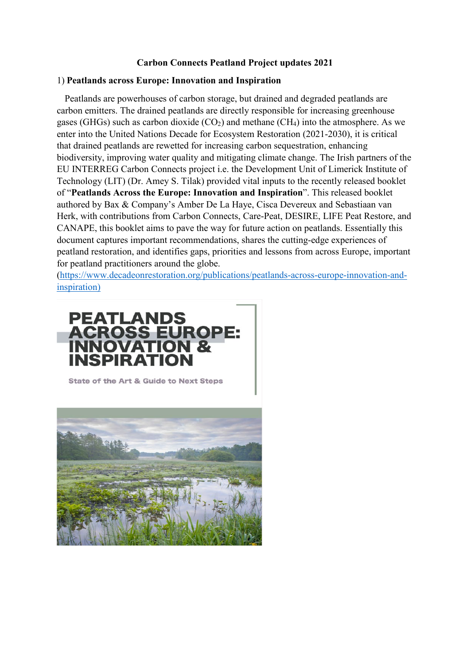## **Carbon Connects Peatland Project updates 2021**

#### 1) **Peatlands across Europe: Innovation and Inspiration**

 Peatlands are powerhouses of carbon storage, but drained and degraded peatlands are carbon emitters. The drained peatlands are directly responsible for increasing greenhouse gases (GHGs) such as carbon dioxide  $(CO_2)$  and methane  $(CH_4)$  into the atmosphere. As we enter into the United Nations Decade for Ecosystem Restoration (2021-2030), it is critical that drained peatlands are rewetted for increasing carbon sequestration, enhancing biodiversity, improving water quality and mitigating climate change. The Irish partners of the EU INTERREG Carbon Connects project i.e. the Development Unit of Limerick Institute of Technology (LIT) (Dr. Amey S. Tilak) provided vital inputs to the recently released booklet of "**Peatlands Across the Europe: Innovation and Inspiration**". This released booklet authored by Bax & Company's Amber De La Haye, Cisca Devereux and Sebastiaan van Herk, with contributions from Carbon Connects, Care-Peat, DESIRE, LIFE Peat Restore, and CANAPE, this booklet aims to pave the way for future action on peatlands. Essentially this document captures important recommendations, shares the cutting-edge experiences of peatland restoration, and identifies gaps, priorities and lessons from across Europe, important for peatland practitioners around the globe.

[\(https://www.decadeonrestoration.org/publications/peatlands-across-europe-innovation-and](https://www.decadeonrestoration.org/publications/peatlands-across-europe-innovation-and-inspiration)[inspiration\)](https://www.decadeonrestoration.org/publications/peatlands-across-europe-innovation-and-inspiration)



State of the Art & Guide to Next Steps

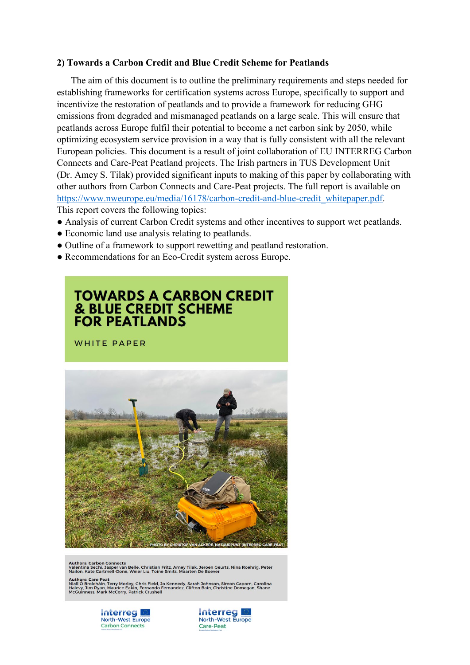### **2) Towards a Carbon Credit and Blue Credit Scheme for Peatlands**

 The aim of this document is to outline the preliminary requirements and steps needed for establishing frameworks for certification systems across Europe, specifically to support and incentivize the restoration of peatlands and to provide a framework for reducing GHG emissions from degraded and mismanaged peatlands on a large scale. This will ensure that peatlands across Europe fulfil their potential to become a net carbon sink by 2050, while optimizing ecosystem service provision in a way that is fully consistent with all the relevant European policies. This document is a result of joint collaboration of EU INTERREG Carbon Connects and Care-Peat Peatland projects. The Irish partners in TUS Development Unit (Dr. Amey S. Tilak) provided significant inputs to making of this paper by collaborating with other authors from Carbon Connects and Care-Peat projects. The full report is available on [https://www.nweurope.eu/media/16178/carbon-credit-and-blue-credit\\_whitepaper.pdf.](https://www.nweurope.eu/media/16178/carbon-credit-and-blue-credit_whitepaper.pdf) This report covers the following topics:

- Analysis of current Carbon Credit systems and other incentives to support wet peatlands.
- Economic land use analysis relating to peatlands.
- Outline of a framework to support rewetting and peatland restoration.
- Recommendations for an Eco-Credit system across Europe.

# **TOWARDS A CARBON CREDIT & BLUE CREDIT SCHEME FOR PEATLANDS**

WHITE PAPER



Authors: Carbon Connects<br>Valentina Sechi, Jasper van Belle, Christian Fritz, Amey Tilak, Jeroen Geurts, Nina Roehrig, Peter<br>Nailon, Kate Cartmell-Done, Weier Liu, Toine Smits, Maarten De Boever

Authors: Care Peat<br>Niall Ó Brolcháin, Terry Morley. Chris Field, Jo Kennedy, Sarah Johnson, Simon Caporn, Carolina<br>Halevy, Jim Ryan, Maurice Eakin, Fernando Fernandez, Clifton Bain, Christine Domegan, Shane<br>McGuinness, Mar



**Interreg** North-West Europe Care-Peat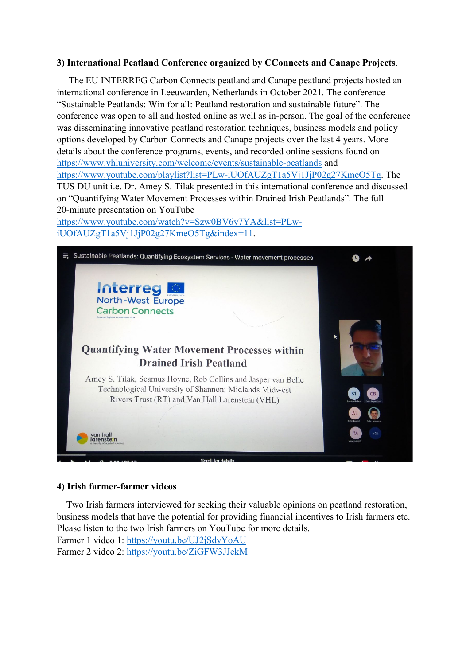## **3) International Peatland Conference organized by CConnects and Canape Projects**.

 The EU INTERREG Carbon Connects peatland and Canape peatland projects hosted an international conference in Leeuwarden, Netherlands in October 2021. The conference "Sustainable Peatlands: Win for all: Peatland restoration and sustainable future". The conference was open to all and hosted online as well as in-person. The goal of the conference was disseminating innovative peatland restoration techniques, business models and policy options developed by Carbon Connects and Canape projects over the last 4 years. More details about the conference programs, events, and recorded online sessions found on <https://www.vhluniversity.com/welcome/events/sustainable-peatlands> and [https://www.youtube.com/playlist?list=PLw-iUOfAUZgT1a5Vj1JjP02g27KmeO5Tg.](https://www.youtube.com/playlist?list=PLw-iUOfAUZgT1a5Vj1JjP02g27KmeO5Tg) The TUS DU unit i.e. Dr. Amey S. Tilak presented in this international conference and discussed on "Quantifying Water Movement Processes within Drained Irish Peatlands". The full 20-minute presentation on YouTube

[https://www.youtube.com/watch?v=Szw0BV6y7YA&list=PLw](https://www.youtube.com/watch?v=Szw0BV6y7YA&list=PLw-iUOfAUZgT1a5Vj1JjP02g27KmeO5Tg&index=11)[iUOfAUZgT1a5Vj1JjP02g27KmeO5Tg&index=11.](https://www.youtube.com/watch?v=Szw0BV6y7YA&list=PLw-iUOfAUZgT1a5Vj1JjP02g27KmeO5Tg&index=11)



## **4) Irish farmer-farmer videos**

 Two Irish farmers interviewed for seeking their valuable opinions on peatland restoration, business models that have the potential for providing financial incentives to Irish farmers etc. Please listen to the two Irish farmers on YouTube for more details.

Farmer 1 video 1: <https://youtu.be/UJ2jSdyYoAU> Farmer 2 video 2: <https://youtu.be/ZiGFW3JJekM>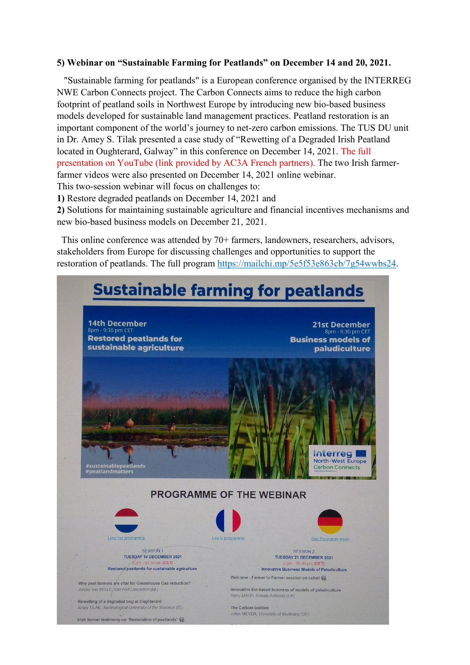#### **5) Webinar on "Sustainable Farming for Peatlands" on December 14 and 20, 2021.**

 "Sustainable farming for peatlands" is a European conference organised by the INTERREG NWE Carbon Connects project. The Carbon Connects aims to reduce the high carbon footprint of peatland soils in Northwest Europe by introducing new bio-based business models developed for sustainable land management practices. Peatland restoration is an important component of the world's journey to net-zero carbon emissions. The TUS DU unit in Dr. Amey S. Tilak presented a case study of "Rewetting of a Degraded Irish Peatland located in Oughterard, Galway" in this conference on December 14, 2021. The full presentation on YouTube (link provided by AC3A French partners). The two Irish farmerfarmer videos were also presented on December 14, 2021 online webinar. This two-session webinar will focus on challenges to:

**1)** Restore degraded peatlands on December 14, 2021 and

**2)** Solutions for maintaining sustainable agriculture and financial incentives mechanisms and new bio-based business models on December 21, 2021.

 This online conference was attended by 70+ farmers, landowners, researchers, advisors, stakeholders from Europe for discussing challenges and opportunities to support the restoration of peatlands. The full program [https://mailchi.mp/5e5f53e863cb/7g54wwbs24.](https://mailchi.mp/5e5f53e863cb/7g54wwbs24)